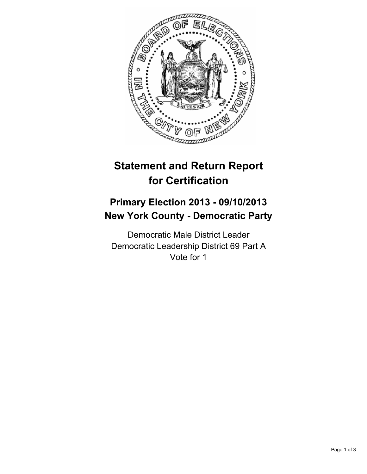

# **Statement and Return Report for Certification**

## **Primary Election 2013 - 09/10/2013 New York County - Democratic Party**

Democratic Male District Leader Democratic Leadership District 69 Part A Vote for 1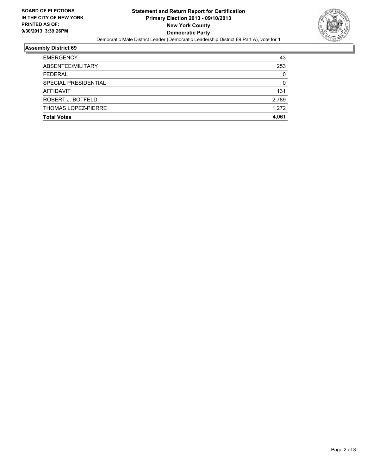

#### **Assembly District 69**

| <b>EMERGENCY</b>     | 43    |
|----------------------|-------|
| ABSENTEE/MILITARY    | 253   |
| <b>FEDERAL</b>       | 0     |
| SPECIAL PRESIDENTIAL | 0     |
| AFFIDAVIT            | 131   |
| ROBERT J. BOTFELD    | 2,789 |
| THOMAS LOPEZ-PIERRE  | 1.272 |
| <b>Total Votes</b>   | 4.061 |
|                      |       |